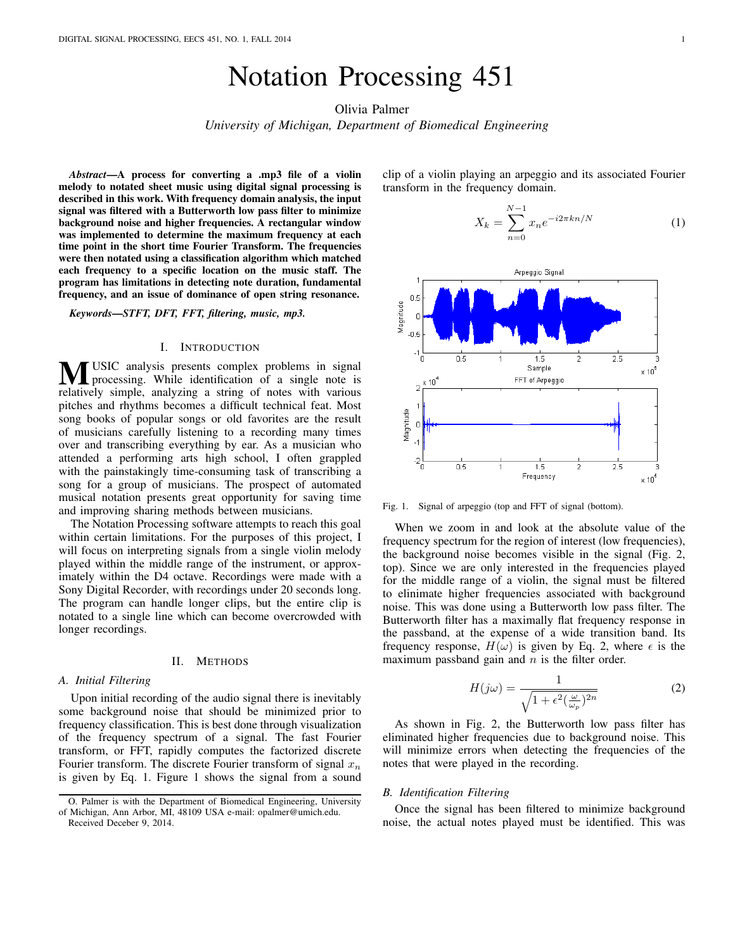# Notation Processing 451

Olivia Palmer

*University of Michigan, Department of Biomedical Engineering*

*Abstract*—A process for converting a .mp3 file of a violin melody to notated sheet music using digital signal processing is described in this work. With frequency domain analysis, the input signal was filtered with a Butterworth low pass filter to minimize background noise and higher frequencies. A rectangular window was implemented to determine the maximum frequency at each time point in the short time Fourier Transform. The frequencies were then notated using a classification algorithm which matched each frequency to a specific location on the music staff. The program has limitations in detecting note duration, fundamental frequency, and an issue of dominance of open string resonance.

*Keywords*—*STFT, DFT, FFT, filtering, music, mp3.*

## I. INTRODUCTION

**MUSIC** analysis presents complex problems in signal processing. While identification of a single note is relatively simple, analyzing a string of notes with various pitches and rhythms becomes a difficult technical feat. Most song books of popular songs or old favorites are the result of musicians carefully listening to a recording many times over and transcribing everything by ear. As a musician who attended a performing arts high school, I often grappled with the painstakingly time-consuming task of transcribing a song for a group of musicians. The prospect of automated musical notation presents great opportunity for saving time and improving sharing methods between musicians.

The Notation Processing software attempts to reach this goal within certain limitations. For the purposes of this project, I will focus on interpreting signals from a single violin melody played within the middle range of the instrument, or approximately within the D4 octave. Recordings were made with a Sony Digital Recorder, with recordings under 20 seconds long. The program can handle longer clips, but the entire clip is notated to a single line which can become overcrowded with longer recordings.

#### II. METHODS

## *A. Initial Filtering*

Upon initial recording of the audio signal there is inevitably some background noise that should be minimized prior to frequency classification. This is best done through visualization of the frequency spectrum of a signal. The fast Fourier transform, or FFT, rapidly computes the factorized discrete Fourier transform. The discrete Fourier transform of signal  $x_n$ is given by Eq. 1. Figure 1 shows the signal from a sound clip of a violin playing an arpeggio and its associated Fourier transform in the frequency domain.

$$
X_k = \sum_{n=0}^{N-1} x_n e^{-i2\pi kn/N}
$$
 (1)



Fig. 1. Signal of arpeggio (top and FFT of signal (bottom).

When we zoom in and look at the absolute value of the frequency spectrum for the region of interest (low frequencies), the background noise becomes visible in the signal (Fig. 2, top). Since we are only interested in the frequencies played for the middle range of a violin, the signal must be filtered to elinimate higher frequencies associated with background noise. This was done using a Butterworth low pass filter. The Butterworth filter has a maximally flat frequency response in the passband, at the expense of a wide transition band. Its frequency response,  $H(\omega)$  is given by Eq. 2, where  $\epsilon$  is the maximum passband gain and  $n$  is the filter order.

$$
H(j\omega) = \frac{1}{\sqrt{1 + \epsilon^2(\frac{\omega}{\omega_p})^{2n}}}
$$
 (2)

As shown in Fig. 2, the Butterworth low pass filter has eliminated higher frequencies due to background noise. This will minimize errors when detecting the frequencies of the notes that were played in the recording.

## *B. Identification Filtering*

Once the signal has been filtered to minimize background noise, the actual notes played must be identified. This was

O. Palmer is with the Department of Biomedical Engineering, University of Michigan, Ann Arbor, MI, 48109 USA e-mail: opalmer@umich.edu. Received Deceber 9, 2014.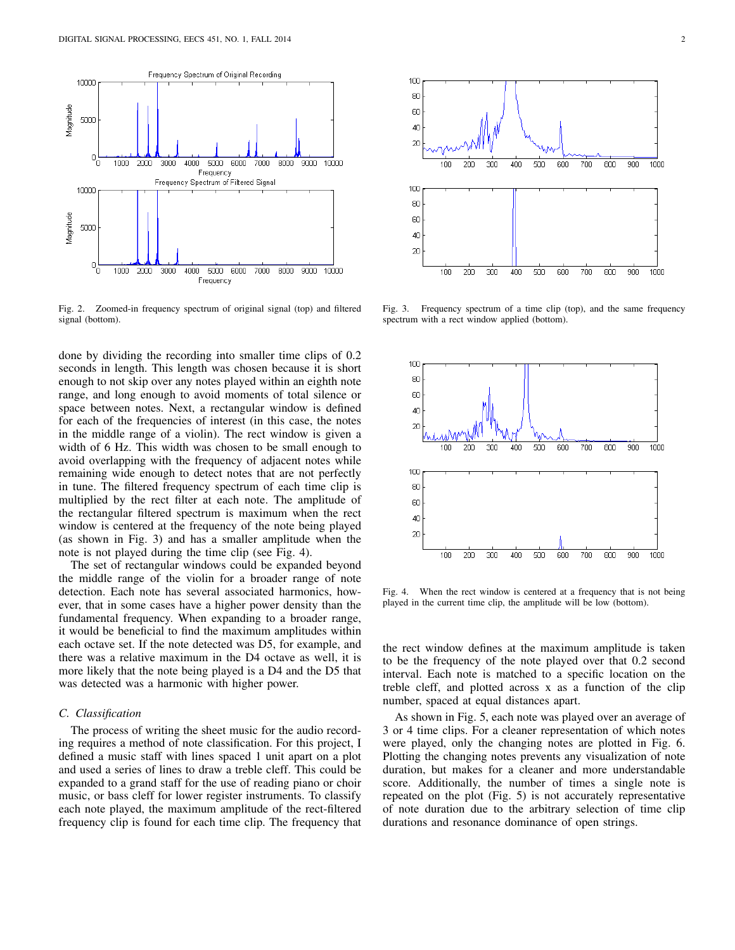

Fig. 2. Zoomed-in frequency spectrum of original signal (top) and filtered signal (bottom).

done by dividing the recording into smaller time clips of 0.2 seconds in length. This length was chosen because it is short enough to not skip over any notes played within an eighth note range, and long enough to avoid moments of total silence or space between notes. Next, a rectangular window is defined for each of the frequencies of interest (in this case, the notes in the middle range of a violin). The rect window is given a width of 6 Hz. This width was chosen to be small enough to avoid overlapping with the frequency of adjacent notes while remaining wide enough to detect notes that are not perfectly in tune. The filtered frequency spectrum of each time clip is multiplied by the rect filter at each note. The amplitude of the rectangular filtered spectrum is maximum when the rect window is centered at the frequency of the note being played (as shown in Fig. 3) and has a smaller amplitude when the note is not played during the time clip (see Fig. 4).

The set of rectangular windows could be expanded beyond the middle range of the violin for a broader range of note detection. Each note has several associated harmonics, however, that in some cases have a higher power density than the fundamental frequency. When expanding to a broader range, it would be beneficial to find the maximum amplitudes within each octave set. If the note detected was D5, for example, and there was a relative maximum in the D4 octave as well, it is more likely that the note being played is a D4 and the D5 that was detected was a harmonic with higher power.

## *C. Classification*

The process of writing the sheet music for the audio recording requires a method of note classification. For this project, I defined a music staff with lines spaced 1 unit apart on a plot and used a series of lines to draw a treble cleff. This could be expanded to a grand staff for the use of reading piano or choir music, or bass cleff for lower register instruments. To classify each note played, the maximum amplitude of the rect-filtered frequency clip is found for each time clip. The frequency that



Fig. 3. Frequency spectrum of a time clip (top), and the same frequency spectrum with a rect window applied (bottom).



Fig. 4. When the rect window is centered at a frequency that is not being played in the current time clip, the amplitude will be low (bottom).

the rect window defines at the maximum amplitude is taken to be the frequency of the note played over that 0.2 second interval. Each note is matched to a specific location on the treble cleff, and plotted across x as a function of the clip number, spaced at equal distances apart.

As shown in Fig. 5, each note was played over an average of 3 or 4 time clips. For a cleaner representation of which notes were played, only the changing notes are plotted in Fig. 6. Plotting the changing notes prevents any visualization of note duration, but makes for a cleaner and more understandable score. Additionally, the number of times a single note is repeated on the plot (Fig. 5) is not accurately representative of note duration due to the arbitrary selection of time clip durations and resonance dominance of open strings.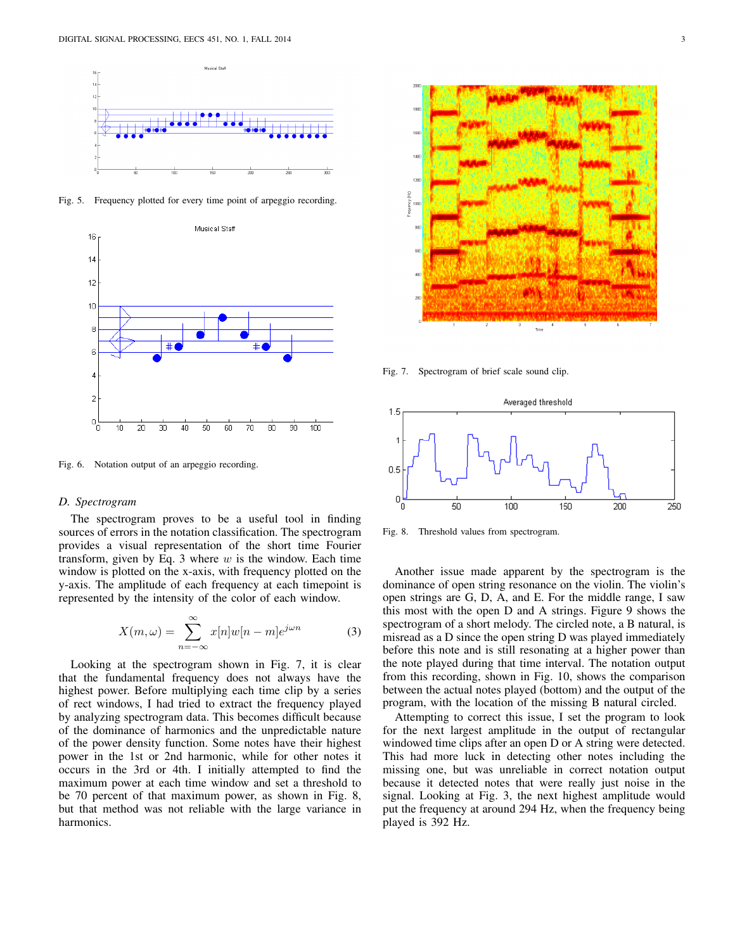

Fig. 5. Frequency plotted for every time point of arpeggio recording.



Fig. 6. Notation output of an arpeggio recording.

## *D. Spectrogram*

The spectrogram proves to be a useful tool in finding sources of errors in the notation classification. The spectrogram provides a visual representation of the short time Fourier transform, given by Eq. 3 where  $w$  is the window. Each time window is plotted on the x-axis, with frequency plotted on the y-axis. The amplitude of each frequency at each timepoint is represented by the intensity of the color of each window.

$$
X(m,\omega) = \sum_{n=-\infty}^{\infty} x[n]w[n-m]e^{j\omega n}
$$
 (3)

Looking at the spectrogram shown in Fig. 7, it is clear that the fundamental frequency does not always have the highest power. Before multiplying each time clip by a series of rect windows, I had tried to extract the frequency played by analyzing spectrogram data. This becomes difficult because of the dominance of harmonics and the unpredictable nature of the power density function. Some notes have their highest power in the 1st or 2nd harmonic, while for other notes it occurs in the 3rd or 4th. I initially attempted to find the maximum power at each time window and set a threshold to be 70 percent of that maximum power, as shown in Fig. 8, but that method was not reliable with the large variance in harmonics.



Fig. 7. Spectrogram of brief scale sound clip.



Fig. 8. Threshold values from spectrogram.

Another issue made apparent by the spectrogram is the dominance of open string resonance on the violin. The violin's open strings are G, D, A, and E. For the middle range, I saw this most with the open D and A strings. Figure 9 shows the spectrogram of a short melody. The circled note, a B natural, is misread as a D since the open string D was played immediately before this note and is still resonating at a higher power than the note played during that time interval. The notation output from this recording, shown in Fig. 10, shows the comparison between the actual notes played (bottom) and the output of the program, with the location of the missing B natural circled.

Attempting to correct this issue, I set the program to look for the next largest amplitude in the output of rectangular windowed time clips after an open D or A string were detected. This had more luck in detecting other notes including the missing one, but was unreliable in correct notation output because it detected notes that were really just noise in the signal. Looking at Fig. 3, the next highest amplitude would put the frequency at around 294 Hz, when the frequency being played is 392 Hz.